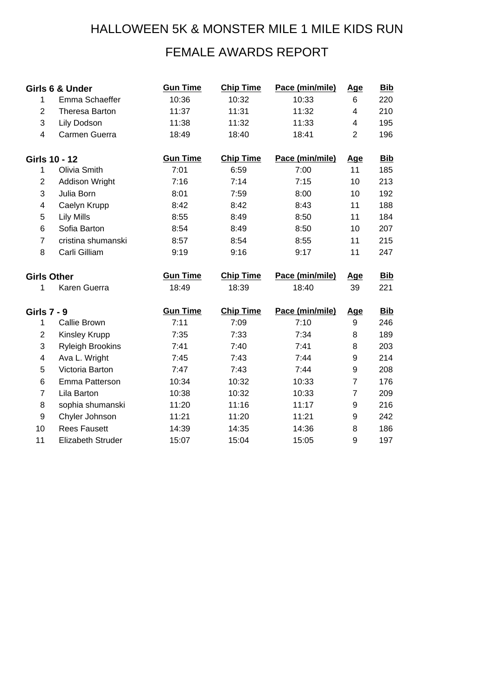## HALLOWEEN 5K & MONSTER MILE 1 MILE KIDS RUN

## FEMALE AWARDS REPORT

|                    | Girls 6 & Under         | <b>Gun Time</b> | <b>Chip Time</b> | Pace (min/mile) | Age              | <b>Bib</b> |
|--------------------|-------------------------|-----------------|------------------|-----------------|------------------|------------|
| $\mathbf{1}$       | Emma Schaeffer          | 10:36           | 10:32            | 10:33           | 6                | 220        |
| $\overline{2}$     | Theresa Barton          | 11:37           | 11:31            | 11:32           | $\overline{4}$   | 210        |
| 3                  | Lily Dodson             | 11:38           | 11:32            | 11:33           | 4                | 195        |
| $\overline{4}$     | Carmen Guerra           | 18:49           | 18:40            | 18:41           | $\overline{2}$   | 196        |
| Girls 10 - 12      |                         | <b>Gun Time</b> | <b>Chip Time</b> | Pace (min/mile) | Age              | <b>Bib</b> |
| 1                  | Olivia Smith            | 7:01            | 6:59             | 7:00            | 11               | 185        |
| $\overline{2}$     | Addison Wright          | 7:16            | 7:14             | 7:15            | 10               | 213        |
| 3                  | Julia Born              | 8:01            | 7:59             | 8:00            | 10               | 192        |
| 4                  | Caelyn Krupp            | 8:42            | 8:42             | 8:43            | 11               | 188        |
| 5                  | <b>Lily Mills</b>       | 8:55            | 8:49             | 8:50            | 11               | 184        |
| 6                  | Sofia Barton            | 8:54            | 8:49             | 8:50            | 10               | 207        |
| $\overline{7}$     | cristina shumanski      | 8:57            | 8:54             | 8:55            | 11               | 215        |
| 8                  | Carli Gilliam           | 9:19            | 9:16             | 9:17            | 11               | 247        |
| <b>Girls Other</b> |                         |                 |                  |                 |                  |            |
|                    |                         | <b>Gun Time</b> | <b>Chip Time</b> | Pace (min/mile) | <b>Age</b>       | <b>Bib</b> |
| 1                  | Karen Guerra            | 18:49           | 18:39            | 18:40           | 39               | 221        |
| Girls 7 - 9        |                         | <b>Gun Time</b> | <b>Chip Time</b> | Pace (min/mile) | <u>Age</u>       | <b>Bib</b> |
| 1                  | Callie Brown            | 7:11            | 7:09             | 7:10            | 9                | 246        |
| $\overline{2}$     | Kinsley Krupp           | 7:35            | 7:33             | 7:34            | 8                | 189        |
| 3                  | <b>Ryleigh Brookins</b> | 7:41            | 7:40             | 7:41            | 8                | 203        |
| 4                  | Ava L. Wright           | 7:45            | 7:43             | 7:44            | 9                | 214        |
| 5                  | Victoria Barton         | 7:47            | 7:43             | 7:44            | $\boldsymbol{9}$ | 208        |
| 6                  | Emma Patterson          | 10:34           | 10:32            | 10:33           | $\overline{7}$   | 176        |
| $\overline{7}$     | Lila Barton             | 10:38           | 10:32            | 10:33           | $\overline{7}$   | 209        |
| 8                  | sophia shumanski        | 11:20           | 11:16            | 11:17           | $\boldsymbol{9}$ | 216        |
| 9                  | Chyler Johnson          | 11:21           | 11:20            | 11:21           | 9                | 242        |
| 10                 | <b>Rees Fausett</b>     | 14:39           | 14:35            | 14:36           | 8                | 186        |